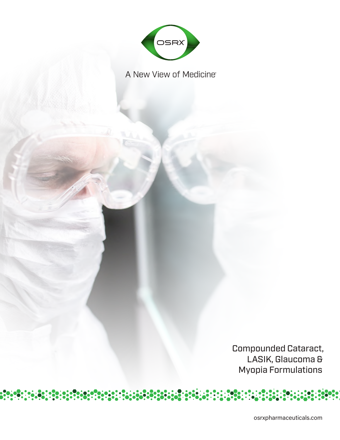

A New View of Medicine

Compounded Cataract, LASIK, Glaucoma & Myopia Formulations

osrxpharmaceuticals.com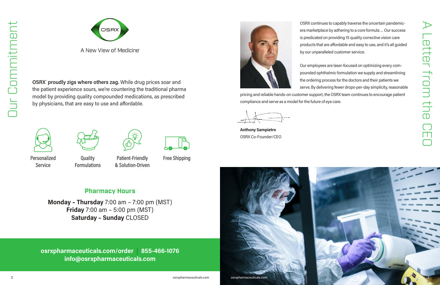**OSRX® proudly zigs where others zag.** While drug prices soar and the patient experience sours, we're countering the traditional pharma model by providing quality compounded medications, as prescribed by physicians, that are easy to use and affordable.



**Quality** Formulations



Personalized Cuality **Canadia Patient-Friendly** Free Shipping & Solution-Driven





Service

**osrxpharmaceuticals.com/order** | **855-466-1076 info@osrxpharmaceuticals.com**



OSRX continues to capably traverse the uncertain pandemicera marketplace by adhering to a core formula … Our success is predicated on providing 15 quality corrective vision care products that are affordable and easy to use, and it's all guided by our unparalleled customer service.

A Letter from the CEO etter from th  $\overline{\overline{CD}}$ 



A New View of Medicine

Our employees are laser-focused on optimizing every compounded ophthalmic formulation we supply and streamlining the ordering process for the doctors and their patients we serve. By delivering fewer drops-per-day simplicity, reasonable pricing and reliable hands-on customer support, the OSRX team continues to encourage patient compliance and serve as a model for the future of eye care.

**Anthony Sampietro** OSRX Co-Founder/CEO

# **Pharmacy Hours**

**Monday – Thursday** 7:00 am – 7:00 pm (MST) **Friday** 7:00 am – 5:00 pm (MST) **Saturday – Sunday** CLOSED

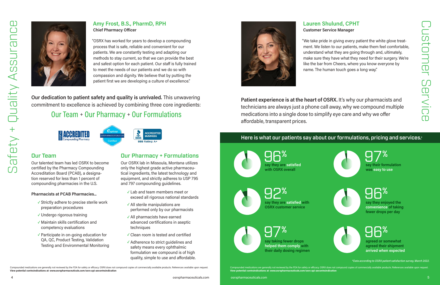ons are generally not reviewed by the FDA for safety or efficacy. OSRX does not compound copies of commercially available products. References available upon request. **View potential contraindications at: www.osrxpharmaceuticals.com/osrx-api-aecontraindication**

Compounded medications are generally not reviewed by the FDA for safety or efficacy. OSRX does not compound copies of commercially available products. References available upon request. **View potential contraindications at: www.osrxpharmaceuticals.com/osrx-api-aecontraindication**

**Our dedication to patient safety and quality is unrivaled.** This unwavering commitment to excellence is achieved by combining three core ingredients:

#### **Amy Frost, B.S., PharmD, RPH Chief Pharmacy Officer**

"OSRX has worked for years to develop a compounding process that is safe, reliable and convenient for our patients. We are constantly testing and adapting our methods to stay current, so that we can provide the best and safest option for each patient. Our staff is fully trained to meet the needs of our patients and we do so with compassion and dignity. We believe that by putting the patient first we are developing a culture of excellence."

> 92% 96% **say they are satisfied with OSRX customer service**





#### **Lauren Shulund, CPHT Customer Service Manager**

"We take pride in giving every patient the white glove treatment. We listen to our patients, make them feel comfortable, understand what they are going through and, ultimately, make sure they have what they need for their surgery. We're like the bar from Cheers, where you know everyone by name. The human touch goes a long way."

**Patient experience is at the heart of OSRX.** It's why our pharmacists and technicians are always just a phone call away, why we compound multiple medications into a single dose to simplify eye care and why we offer affordable, transparent prices.







**was easy to use**

**say they are satisfied with OSRX overall**

**say they enjoyed the** 

**convenience of taking fewer drops per day**

**agreed or somewhat agreed their shipment arrived when expected**

**say taking fewer drops helped them comply with their daily dosing regimen**

## Here is what our patients say about our formulations, pricing and services.\*

### Our Team

Our talented team has led OSRX to become certified by the Pharmacy Compounding Accreditation Board (PCAB), a designation reserved for less than 1 percent of compounding pharmacies in the U.S.

#### **Pharmacists at PCAB Pharmacies...**

- **✓** Strictly adhere to precise sterile work preparation procedures
- **✓** Undergo rigorous training
- **✓** Maintain skills certification and competency evaluations
- **✓** Participate in on-going education for QA, QC, Product Testing, Validation Testing and Environmental Monitoring

### Our Pharmacy + Formulations

Our OSRX lab in Missoula, Montana utilizes only the highest grade active pharmaceutical ingredients, the latest technology and equipment, and strictly adheres to USP 795 and 797 compounding guidelines.

- **✓** Lab and team members meet or exceed all rigorous national standards
- **✓** All sterile manipulations are performed only by our pharmacists
- **✓** All pharmacists have earned advanced certifications in aseptic techniques
- **✓** Clean room is tested and certified
- **✓** Adherence to strict guidelines and safety means every ophthalmic formulation we compound is of high quality, simple to use and affordable.



# Our Team + Our Pharmacy + Our Formulations







**ACCREDITED** 

*\*Data according to OSRX patient satisfaction survey, March 2022.*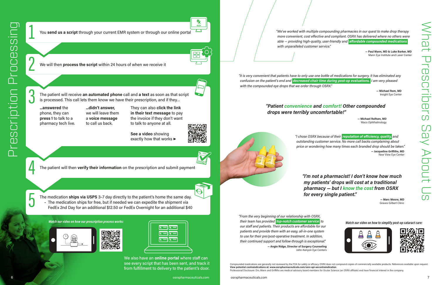2

We also have an **online portal** where staff can see every script that has been sent, and track it from fulfillment to delivery to the patient's door.

6 osrxpharmaceuticals.com osrxpharmaceuticals.com osrxpharmaceuticals.com 7 osrxpharmaceuticals.com 7 osrxpharmaceuticals.com 7

What Prescribers Say About Us ום<br>ב **Prescr** SJAD<sub>1</sub>

CΩ

1

3

4

5

We will then **process the script** within 24 hours of when we receive it

**See a video** showing exactly how that works ▶



The patient will receive **an automated phone** call and **a text** as soon as that script is processed. This call lets them know we have their prescription, and if they…

**...answered** the phone, they can **press 1** to talk to a pharmacy tech live. **...didn't answer,** we will leave them a **voice message** to call us back.

*"From the very beginning of our relationship with OSRX, their team has provided top-notch customer service to our staff and patients. Their products are affordable for our patients and provide them with an easy, all-in-one system to use for their pre/post-operative treatment. In addition, their continued support and follow-through is exceptional."* **— Angie Ridge, Director of Surgery Counseling** Watch our video on how our prescription process works: and the content of their team has provided top-notch customer service to a watch our video on how to simplify post-op cataract care:

They can also **click the link in their text message** to pay the invoice if they don't want to talk to anyone at all.

The patient will then **verify their information** on the prescription and submit payment

*"We've worked with multiple compounding pharmacies in our quest to make drop therapy more convenient, cost effective and compliant. OSRX has delivered where no others were able — providing high-quality, user-friendly and affordable compounded medications* 

*with unparalleled customer service."*

**— Paul Mann, MD & Luke Barker, MD** Mann Eye Institute and Laser Center

John-Kenyon Eye Centers

*"It is very convenient that patients have to only use one bottle of medications for surgery. It has eliminated any confusion on the patient's end and decreased chair time during post-op evaluations. I am very pleased with the compounded eye drops that we order through OSRX."*

> **— Michael Rom, MD** Insight Eye Center

You **send us a script** through your current EMR system or through our online portal



The medication **ships via USPS** 3–7 day directly to the patient's home the same day. • The medication ships for free, but if needed we can expedite the shipment via FedEx 2nd Day for an additional \$12.50 or FedEx Overnight for an additional \$40





| $\overline{\mathbf{R}}$<br>$\mathbf{R} =$                   |  |
|-------------------------------------------------------------|--|
| $\vert \mathbf{r} \vert = \vert$<br>$\overline{\mathbf{R}}$ |  |
|                                                             |  |
| $=$ $\mid$<br>$R =$<br>R <sub>X</sub>                       |  |

*"I chose OSRX because of their reputation of efficiency, quality, and outstanding customer service. No more call backs complaining about price or wondering how many times each branded drop should be taken."* **— Jacqueline Griffiths, MD** New View Eye Center

*"I'm not a pharmacist! I don't know how much my patients' drops will cost at a traditional pharmacy — but I know the cost from OSRX for every single patient."*

**— Marc Moore, MD** Graves Gilbert Clinic





#### *"Patient convenience and comfort! Other compounded drops were terribly uncomfortable!"*

**— Michael Rolfsen, MD** Waco Ophthalmology

Compounded medications are generally not reviewed by the FDA for safety or efficacy. OSRX does not compound copies of commercially available products. References available upon request. **View potential contraindications at: www.osrxpharmaceuticals.com/osrx-api-aecontraindication** Professional Disclosure: Drs. Mann and Griffiths are medical advisory board members for Ocular Science (an OSRX affiliate) and have financial interest in the company.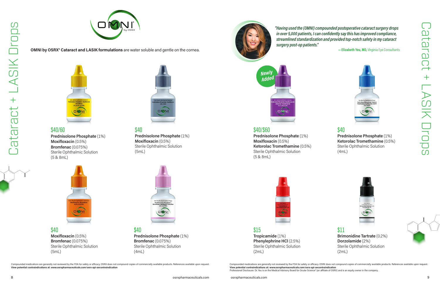

**OMNI by OSRX® Cataract and LASIK formulations** are water soluble and gentle on the cornea.



*"Having used the (OMNI) compounded postoperative cataract surgery drops in over 5,000 patients, I can confidently say this has improved compliance, streamlined standardization and provided top-notch safety in my cataract surgery post-op patients."* 

Compounded medications are generally not reviewed by the FDA for safety or efficacy. OSRX does not compound copies of commercially available products. References available upon request. **View potential contraindications at: www.osrxpharmaceuticals.com/osrx-api-aecontraindication**  Professional Disclosure: Dr. Yeu is on the Medical Advisory Board for Ocular Science® (an affiliate of OSRX) and is an equity owner in the company.

**— Elizabeth Yeu, MD,** Virginia Eye Consultants



**View potential contraindications at: www.osrxpharmaceuticals.com/osrx-api-aecontraindication**

Compounded medications are generally not reviewed by the FDA for safety or efficacy. OSRX does not compound copies of commercially available products. References available upon request.







\$11 **Brimonidine Tartrate** (0.2%) **Dorzolamide** (2%) Sterile Ophthalmic Solution (2mL)



\$15 **Tropicamide** (1%) **Phenylephrine HCl** (2.5%) Sterile Ophthalmic Solution (2mL)

\$40 **Moxifloxacin** (0.5%) **Bromfenac** (0.075%) Sterile Ophthalmic Solution (5mL)

\$40 **Prednisolone Phosphate** (1%) **Bromfenac** (0.075%) Sterile Ophthalmic Solution (4mL)



#### \$40/\$60

**Prednisolone Phosphate** (1%) **Moxifloxacin** (0.5%) **Ketorolac Tromethamine** (0.5%) Sterile Ophthalmic Solution (5 & 8mL)



## \$40/60

**Prednisolone Phosphate** (1%) **Moxifloxacin** (0.5%) **Bromfenac** (0.075%) Sterile Ophthalmic Solution (5 & 8mL)



## \$40

**Prednisolone Phosphate** (1%) **Ketorolac Tromethamine** (0.5%) Sterile Ophthalmic Solution (4mL)

# \$40

**Prednisolone Phosphate** (1%) **Moxifloxacin** (0.5%) Sterile Ophthalmic Solution (5mL)



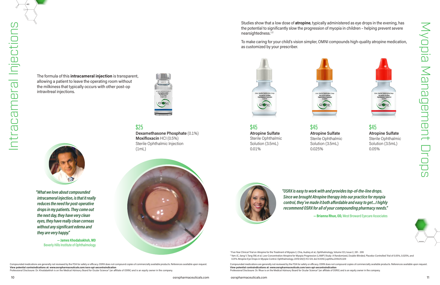The formula of this **intracameral injection** is transparent, allowing a patient to leave the operating room without the milkiness that typically occurs with other post-op

intravitreal injections.

#### \$25

**Dexamethasone Phosphate** (0.1%) **Moxifloxacin** HCI (0.5%) Sterile Ophthalmic Injection (1mL)



Compounded medications are generally not reviewed by the FDA for safety or efficacy. OSRX does not compound copies of commercially available products. References available upon request. **View potential contraindications at: www.osrxpharmaceuticals.com/osrx-api-aecontraindication**

Professional Disclosure: Dr. Khodabakhsh is on the Medical Advisory Board for Ocular Science® (an affiliate of OSRX) and is an equity owner in the company.

Studies show that a low dose of **atropine**, typically administered as eye drops in the evening, has the potential to significantly slow the progression of myopia in children – helping prevent severe nearsightedness.<sup>12</sup>

*"What we love about compounded intracameral injection, is that it really reduces the need for post-operative drops in my patients. They come out the next day, they have very clean eyes, they have really clean corneas without any significant edema and they are very happy."*

> Compounded medications are generally not reviewed by the FDA for safety or efficacy. OSRX does not compound copies of commercially available products. References available upon request. **View potential contraindications at: www.osrxpharmaceuticals.com/osrx-api-aecontraindication**  Professional Disclosure: Dr. Rhue is on the Medical Advisory Board for Ocular Science® (an affiliate of OSRX) and is an equity owner in the company

**— James Khodabakhsh, MD** Beverly Hills Institute of Ophthalmology



To make caring for your child's vision simpler, OMNI compounds high-quality atropine medication, as customized by your prescriber.

<sup>1</sup> Five-Year Clinical Trial on Atropine for the Treatment of Myopia 2, Chia, Audrey et al., Ophthalmology, Volume 123, Issue 2, 391 - 399 <sup>2</sup> Yam JC, Jiang Y, Tang SM, et al. Low-Concentration Atropine for Myopia Progression (LAMP) Study: A Randomized, Double-Blinded, Placebo-Controlled Trial of 0.05%, 0.025%, and 0.01% Atropine Eye Drops in Myopia Control. Ophthalmology. 2019;126(1):113-124. doi:10.1016/j.ophtha.2018.05.029

\$45

**Atropine Sulfate** Sterile Ophthalmic Solution (3.5mL)

0.01%

**Atropine Sulfate** Sterile Ophthalmic Solution (3.5mL)



\$45 0.025%

#### \$45

**Atropine Sulfate**  Sterile Ophthalmic Solution (3.5mL) 0.05%

*"OSRX is easy to work with and provides top-of-the-line drops. Since we brought Atropine therapy into our practice for myopia control, they've made it both affordable and easy to get…I highly recommend OSRX for all of your compounding pharmacy needs."*

**— Brianna Rhue, OD,** West Broward Eyecare Associates



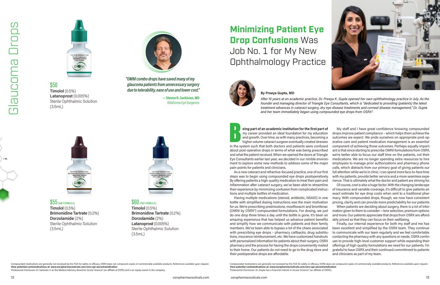

#### \$50 **Timolol** (0.5%) **Latanoprost** (0.005%) Sterile Ophthalmic Solution

(3.5mL)



**Timolol** (0.5%) **Brimonidine Tartrate** (0.2%) **Dorzolamide** (2%) Sterile Ophthalmic Solution (3.5mL)



#### \$60(PM FORMULA)

**Timolol** (0.5%) **Brimonidine Tartrate** (0.2%) **Dorzolamide** (2%) **Latanoprost** (0.005%) Sterile Ophthalmic Solution (3.5mL)

*"OMNI combo drops have saved many of my glaucoma patients from unnecessary surgery due to tolerability, ease of use and lower cost."* 

> **— Steven R. Sarkisian, MD**  Oklahoma Eye Surgeons



# $$55$  (AM FORMULA)

Compounded medications are generally not reviewed by the FDA for safety or efficacy. OSRX does not compound copies of commercially available products. References available upon request. **View potential contraindications at: www.osrxpharmaceuticals.com/osrx-api-aecontraindication** 

Professional Disclosure: Dr. Sarkisian is on the Medical Advisory Board for Ocular Science® (an affiliate of OSRX) and is an equity owner in the company.

**Example 18 Second Series and Series and Series Series Series Series Series Series Series and growth. Over time, as with many practices, becoming a higher volume cataract surgeon eventually created stresses in the system s** about post-operative drops in terms of what was being prescribed and what the patient received. When we opened the doors at Triangle Eye Consultants earlier last year, we decided in our nimble environment to explore some new methods to address some of the major pain-points for patients and clinicians. As a new cataract and refractive-focused practice, one of our first steps was to begin using compounded eye drops postoperatively. By offering patients a high-quality medication to treat their pain and

**By Preeya Gupta, MD**



*After 10 years at an academic practice, Dr. Preeya K. Gupta opened her own ophthalmology practice in July. As the founder and managing director of Triangle Eye Consultants, which is "dedicated to providing (patients) the latest treatment advances in cataract surgery, dry eye disease treatments and corneal disease management," Dr. Gupta* 

*and her team immediately began using compounded eye drops from OSRX®.*

inflammation after cataract surgery, we've been able to streamline their experience by minimizing confusion from complicated instructions and multiple bottles of medication.

**eing part of an academic institution for the first part of** my career provided an ideal foundation for my education and growth. Over time, as with many practices, becoming a higher volume cataract surgeon eventually created stresses My staff and I have great confidence knowing compounded drops improve patient compliance – which helps them achieve the outcomes we expect. We pride ourselves on appropriate post-operative care and patient medication management is an essential component of achieving those outcomes. Perhaps equally important is that since starting to prescribe OMNI formulations from OSRX, we're better able to focus our staff time on the patients, not their medications. We are no longer spending extra resources to hire employees to manage prior authorizations and pharmacy phone calls, which distracts from our primary goal of giving patients our full attention while we're in clinic. I can spend more face-to-face time with my patients, provide better service and a more seamless experience. That is ultimately what the doctor and patient are striving for.

Having multiple medications (steroid, antibiotic, NSAID) in one bottle with simplified dosing instructions was the main motivation for us. We're prescribing prednisolone, moxifloxacin and bromfenac (OMNI by OSRX®) compounded formulations. For dosing, we just do one drop three times a day until the bottle is gone. It's been an amazing experience that has helped us advance patient benefits and simplify how we communicate with patients and their family members. We've been able to bypass a lot of the chaos associated with prescribing eye drops – pharmacy callbacks, drug substitutions, insurance reimbursement, etc. We have customized handouts with personalized information for patients about their surgery, OSRX pharmacy and the process for having the drops conveniently mailed to their home. Our patients do not need to go to the drug store and their postoperative drops are affordable. macy. With compounded drops, though, we now have consistent pricing, clarity and can provide more predictability for our patients. When patients are deciding about surgery, there is a lot of information given to them to consider —lens selection, premium options and more. Our patients appreciate that drops from OSRX are affordably priced so that they can focus on their wellbeing. Finally, our internal experience for both my staff and me has been excellent and simplified by the OSRX team. They continue to communicate with our team regularly and we feel comfortable contacting the pharmacy with any questions or needs. OSRX continues to provide high-level customer support while expanding their offerings of high-quality formulations we need for our patients. I'm grateful to have OSRX and their continued commitment to patients and clinicians as part of my team.

Of course, cost is also a huge factor. With the changing landscape of insurance and variable coverage, it's difficult to give patients an exact estimate for eye drop costs when sent to a traditional phar-

# **Minimizing Patient Eye Drop Confusions** Was Job No. 1 for My New Ophthalmology Practice





Compounded medications are generally not reviewed by the FDA for safety or efficacy. OSRX does not compound copies of commercially available products. References available upon request. **View potential contraindications at: www.osrxpharmaceuticals.com/osrx-api-aecontraindication** Professional Disclosure: Dr. Gupta has a financial interest in Ocular Science® (an affiliate of OSRX).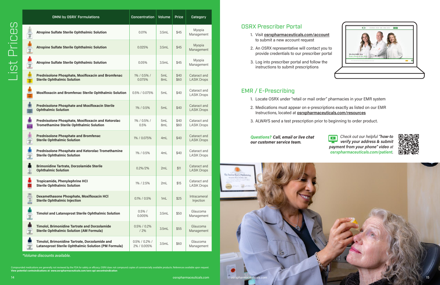### EMR / E-Prescribing

- 1. Locate OSRX under "retail or mail order" pharmacies in your EMR system
- 2. Medications must appear on e-prescriptions exactly as listed on our EMR Instructions, located at **osrxpharmaceuticals.com/resources**
- 3. ALWAYS send a test prescription prior to beginning to order product.

### OSRX Prescriber Portal

- 1. Visit **osrxpharmaceuticals.com/account** to submit a new account request
- 2. An OSRX representative will contact you to provide credentials to our prescriber portal
- 3. Log into prescriber portal and follow the instructions to submit prescriptions

#### *Questions? Call, email or live chat our customer service team.*

d medications are generally not reviewed by the FDA for safety or efficacy. OSRX does not compound copies of commercially available products. References available upon request.<br>i<mark>al contraindications at: www.osrxpharmaceut</mark>

|           | <b>OMNI by OSRX® Formulations</b>                                                                                                                                                                                         | <b>Concentration</b>         | <b>Volume</b> | <b>Price</b> | Category                           |  |  |
|-----------|---------------------------------------------------------------------------------------------------------------------------------------------------------------------------------------------------------------------------|------------------------------|---------------|--------------|------------------------------------|--|--|
|           | <b>Atropine Sulfate Sterile Ophthalmic Solution</b>                                                                                                                                                                       | 0.01%                        | 3.5mL         | \$45         | Myopia<br>Management               |  |  |
|           | <b>Atropine Sulfate Sterile Ophthalmic Solution</b>                                                                                                                                                                       | 0.025%                       | 3.5mL         | \$45         | Myopia<br>Management               |  |  |
|           | <b>Atropine Sulfate Sterile Ophthalmic Solution</b>                                                                                                                                                                       | 0.05%                        | 3.5mL         | \$45         | Myopia<br>Management               |  |  |
|           | <b>Prednisolone Phosphate, Moxifloxacin and Bromfenac</b><br><b>Sterile Ophthalmic Solution</b>                                                                                                                           | 1% / 0.5% /<br>0.075%        | 5mL<br>8mL    | \$40<br>\$60 | Cataract and<br><b>LASIK Drops</b> |  |  |
|           | <b>Moxifloxacin and Bromfenac Sterile Ophthalmic Solution</b>                                                                                                                                                             | 0.5% / 0.075%                | 5mL           | \$40         | Cataract and<br><b>LASIK Drops</b> |  |  |
|           | <b>Prednisolone Phosphate and Moxifloxacin Sterile</b><br><b>Ophthalmic Solution</b>                                                                                                                                      | 1% / 0.5%                    | 5mL           | \$40         | Cataract and<br><b>LASIK Drops</b> |  |  |
|           | Prednisolone Phosphate, Moxifloxacin and Ketorolac<br><b>Tromethamine Sterile Ophthalmic Solution</b>                                                                                                                     | 1% / 0.5% /<br>0.5%          | 5mL<br>8mL    | \$40<br>\$60 | Cataract and<br><b>LASIK Drops</b> |  |  |
|           | <b>Prednisolone Phosphate and Bromfenac</b><br><b>Sterile Ophthalmic Solution</b>                                                                                                                                         | 1% / 0.075%                  | 4mL           | \$40         | Cataract and<br><b>LASIK Drops</b> |  |  |
|           | <b>Prednisolone Phosphate and Ketorolac Tromethamine</b><br><b>Sterile Ophthalmic Solution</b>                                                                                                                            | 1% / 0.5%                    | 4mL           | \$40         | Cataract and<br><b>LASIK Drops</b> |  |  |
| $\bullet$ | <b>Brimonidine Tartrate, Dorzolamide Sterile</b><br><b>Ophthalmic Solution</b>                                                                                                                                            | 0.2%/2%                      | 2mL           | \$11         | Cataract and<br><b>LASIK Drops</b> |  |  |
|           | <b>Tropicamide, Phenylephrine HCI</b><br><b>Sterile Ophthalmic Solution</b>                                                                                                                                               | 1% / 2.5%                    | 2mL           | \$15         | Cataract and<br><b>LASIK Drops</b> |  |  |
|           | Dexamethasone Phosphate, Moxifloxacin HCl<br><b>Sterile Ophthalmic Injection</b>                                                                                                                                          | $0.1\% / 0.5\%$              | 1mL           | \$25         | Intracameral<br>Injection          |  |  |
| (6)       | <b>Timolol and Latanoprost Sterile Ophthalmic Solution</b>                                                                                                                                                                | $0.5\%$ /<br>0.005%          | 3.5mL         | \$50         | Glaucoma<br>Management             |  |  |
|           | <b>Timolol, Brimonidine Tartrate and Dorzolamide</b><br><b>Sterile Ophthalmic Solution (AM Formula)</b>                                                                                                                   | 0.5% / 0.2%<br>/2%           | 3.5mL         | \$55         | Glaucoma<br>Management             |  |  |
|           | Timolol, Brimonidine Tartrate, Dorzolamide and<br>Latanoprost Sterile Ophthalmic Solution (PM Formula)                                                                                                                    | 0.5% / 0.2% /<br>2% / 0.005% | 3.5mL         | \$60         | Glaucoma<br>Management             |  |  |
|           | *Volume discounts available.<br>Compounded medications are generally not reviewed by the FDA for safety or efficacy. OSRX does not compound copies of commercially available products. References available upon request. |                              |               |              |                                    |  |  |

*Check out our helpful "how-to verify your address & submit*  75 T *payment from your phone" video at osrxpharmaceuticals.com/patient.*